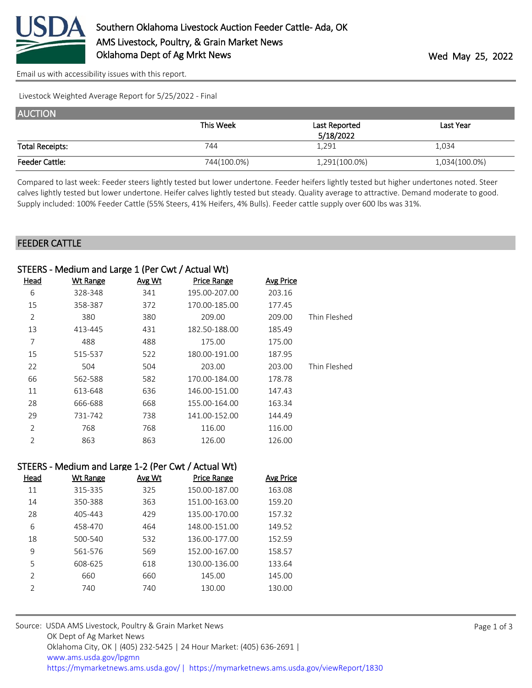

[Email us with accessibility issues with this report.](mailto:mars@ams.usda.gov?subject=508%20issue)

Livestock Weighted Average Report for 5/25/2022 - Final

| <b>AUCTION</b>         |             |               |               |
|------------------------|-------------|---------------|---------------|
|                        | This Week   | Last Reported | Last Year     |
|                        |             | 5/18/2022     |               |
| <b>Total Receipts:</b> | 744         | 1,291         | 1,034         |
| <b>Feeder Cattle:</b>  | 744(100.0%) | 1,291(100.0%) | 1,034(100.0%) |

Compared to last week: Feeder steers lightly tested but lower undertone. Feeder heifers lightly tested but higher undertones noted. Steer calves lightly tested but lower undertone. Heifer calves lightly tested but steady. Quality average to attractive. Demand moderate to good. Supply included: 100% Feeder Cattle (55% Steers, 41% Heifers, 4% Bulls). Feeder cattle supply over 600 lbs was 31%.

## FEEDER CATTLE

|                | STEERS - Medium and Large 1 (Per Cwt / Actual Wt)   |               |                    |                  |              |
|----------------|-----------------------------------------------------|---------------|--------------------|------------------|--------------|
| <b>Head</b>    | <b>Wt Range</b>                                     | Avg Wt        | <b>Price Range</b> | <b>Avg Price</b> |              |
| 6              | 328-348                                             | 341           | 195.00-207.00      | 203.16           |              |
| 15             | 358-387                                             | 372           | 170.00-185.00      | 177.45           |              |
| $\overline{2}$ | 380                                                 | 380           | 209.00             | 209.00           | Thin Fleshed |
| 13             | 413-445                                             | 431           | 182.50-188.00      | 185.49           |              |
| $\overline{7}$ | 488                                                 | 488           | 175.00             | 175.00           |              |
| 15             | 515-537                                             | 522           | 180.00-191.00      | 187.95           |              |
| 22             | 504                                                 | 504           | 203.00             | 203.00           | Thin Fleshed |
| 66             | 562-588                                             | 582           | 170.00-184.00      | 178.78           |              |
| 11             | 613-648                                             | 636           | 146.00-151.00      | 147.43           |              |
| 28             | 666-688                                             | 668           | 155.00-164.00      | 163.34           |              |
| 29             | 731-742                                             | 738           | 141.00-152.00      | 144.49           |              |
| $\overline{2}$ | 768                                                 | 768           | 116.00             | 116.00           |              |
| $\overline{2}$ | 863                                                 | 863           | 126.00             | 126.00           |              |
|                | STEERS - Medium and Large 1-2 (Per Cwt / Actual Wt) |               |                    |                  |              |
| <b>Head</b>    | <b>Wt Range</b>                                     | <b>Avg Wt</b> | <b>Price Range</b> | <b>Avg Price</b> |              |
| 11             | 315-335                                             | 325           | 150.00-187.00      | 163.08           |              |
| 14             | 350-388                                             | 363           | 151.00-163.00      | 159.20           |              |
| 28             | 405-443                                             | 429           | 135.00-170.00      | 157.32           |              |
| 6              | 458-470                                             | 464           | 148.00-151.00      | 149.52           |              |
| 18             | 500-540                                             | 532           | 136.00-177.00      | 152.59           |              |
| $\mathsf 9$    | 561-576                                             | 569           | 152.00-167.00      | 158.57           |              |
| 5              | 608-625                                             | 618           | 130.00-136.00      | 133.64           |              |
| $\overline{2}$ | 660                                                 | 660           | 145.00             | 145.00           |              |
| $\overline{2}$ | 740                                                 | 740           | 130.00             | 130.00           |              |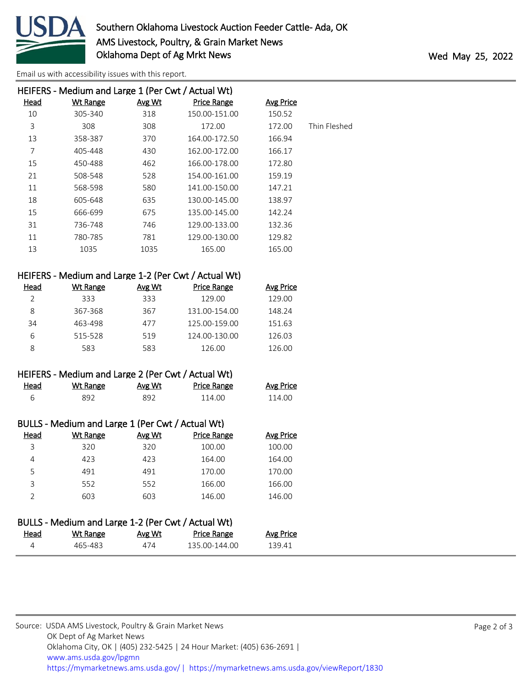

[Email us with accessibility issues with this report.](mailto:mars@ams.usda.gov?subject=508%20issue)

|      | HEIFERS - Medium and Large 1 (Per Cwt / Actual Wt) |        |                    |                  |              |
|------|----------------------------------------------------|--------|--------------------|------------------|--------------|
| Head | <b>Wt Range</b>                                    | Avg Wt | <b>Price Range</b> | <b>Avg Price</b> |              |
| 10   | 305-340                                            | 318    | 150.00-151.00      | 150.52           |              |
| 3    | 308                                                | 308    | 172.00             | 172.00           | Thin Fleshed |
| 13   | 358-387                                            | 370    | 164.00-172.50      | 166.94           |              |
| 7    | 405-448                                            | 430    | 162.00-172.00      | 166.17           |              |
| 15   | 450-488                                            | 462    | 166.00-178.00      | 172.80           |              |
| 21   | 508-548                                            | 528    | 154.00-161.00      | 159.19           |              |
| 11   | 568-598                                            | 580    | 141.00-150.00      | 147.21           |              |
| 18   | 605-648                                            | 635    | 130.00-145.00      | 138.97           |              |
| 15   | 666-699                                            | 675    | 135.00-145.00      | 142.24           |              |
| 31   | 736-748                                            | 746    | 129.00-133.00      | 132.36           |              |
| 11   | 780-785                                            | 781    | 129.00-130.00      | 129.82           |              |
| 13   | 1035                                               | 1035   | 165.00             | 165.00           |              |
|      |                                                    |        |                    |                  |              |
|      |                                                    |        |                    |                  |              |

| Head | Wt Range | Avg Wt | <b>Price Range</b> | Avg Price |
|------|----------|--------|--------------------|-----------|
|      | 333      | 333    | 129.00             | 129.00    |
| 8    | 367-368  | 367    | 131.00-154.00      | 148.24    |
| 34   | 463-498  | 477    | 125.00-159.00      | 151.63    |
| 6    | 515-528  | 519    | 124.00-130.00      | 126.03    |
|      | 583      | 583    | 126.00             | 126.00    |

|      | HEIFERS - Medium and Large 2 (Per Cwt / Actual Wt) |               |                    |  |
|------|----------------------------------------------------|---------------|--------------------|--|
| Head | Wt Range                                           | <u>Avg Wt</u> | <b>Price Range</b> |  |

| -<br>. . | ⊋ດ≏ | ാറി | $\Omega$ | ĴО<br>Δ |
|----------|-----|-----|----------|---------|
|          |     |     |          |         |

| BULLS - Medium and Large 1 (Per Cwt / Actual Wt) |  |  |
|--------------------------------------------------|--|--|
|--------------------------------------------------|--|--|

| Head | Wt Range | Avg Wt | <b>Price Range</b> | <b>Avg Price</b> |
|------|----------|--------|--------------------|------------------|
| 3    | 320      | 320    | 100.00             | 100.00           |
| 4    | 423      | 423    | 164.00             | 164.00           |
| 5    | 491      | 491    | 170.00             | 170.00           |
| 3    | 552      | 552    | 166.00             | 166.00           |
|      | 603      | 603    | 146.00             | 146.00           |
|      |          |        |                    |                  |

## BULLS - Medium and Large 1-2 (Per Cwt / Actual Wt)

| <b>Head</b> | <b>Wt Range</b> | Avg Wt | <b>Price Range</b> | Avg Price |
|-------------|-----------------|--------|--------------------|-----------|
|             | -65-483         | 4 I L  | 135.00-144.00      | 139 11    |

Avg Price